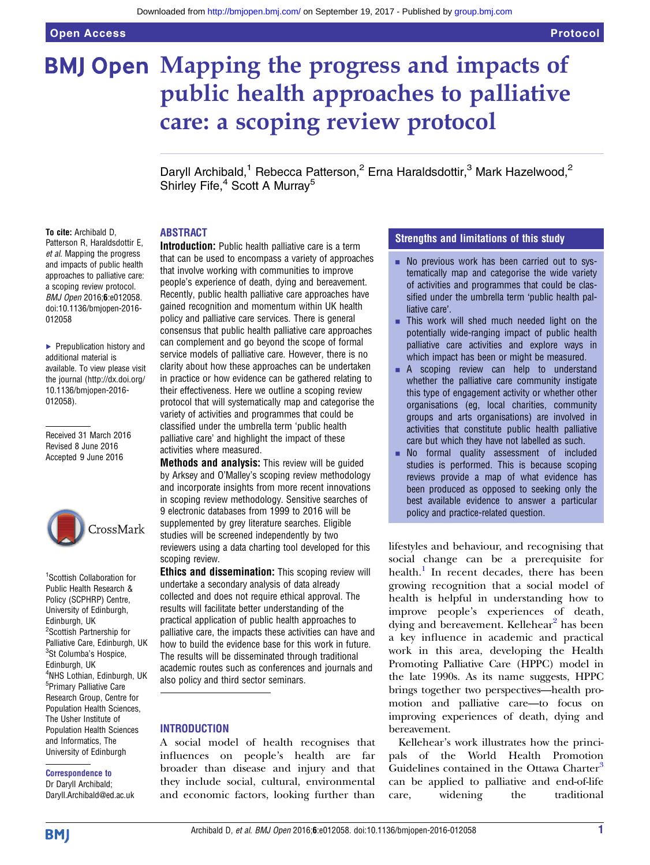# **BMJ Open Mapping the progress and impacts of** public health approaches to palliative care: a scoping review protocol

Daryll Archibald,<sup>1</sup> Rebecca Patterson,<sup>2</sup> Erna Haraldsdottir,<sup>3</sup> Mark Hazelwood,<sup>2</sup> Shirley Fife,<sup>4</sup> Scott A Murray<sup>5</sup>

#### ABSTRACT

To cite: Archibald D, Patterson R, Haraldsdottir E, et al. Mapping the progress and impacts of public health approaches to palliative care: a scoping review protocol. BMJ Open 2016;6:e012058. doi:10.1136/bmjopen-2016- 012058

▶ Prepublication history and additional material is available. To view please visit the journal [\(http://dx.doi.org/](http://dx.doi.org/10.1136/bmjopen-2016-012058) [10.1136/bmjopen-2016-](http://dx.doi.org/10.1136/bmjopen-2016-012058) [012058\)](http://dx.doi.org/10.1136/bmjopen-2016-012058).

Received 31 March 2016 Revised 8 June 2016 Accepted 9 June 2016



1 Scottish Collaboration for Public Health Research & Policy (SCPHRP) Centre, University of Edinburgh, Edinburgh, UK <sup>2</sup>Scottish Partnership for Palliative Care, Edinburgh, UK <sup>3</sup>St Columba's Hospice, Edinburgh, UK 4 NHS Lothian, Edinburgh, UK 5 Primary Palliative Care Research Group, Centre for Population Health Sciences, The Usher Institute of Population Health Sciences and Informatics, The University of Edinburgh

#### Correspondence to Dr Daryll Archibald; Daryll.Archibald@ed.ac.uk

Introduction: Public health palliative care is a term that can be used to encompass a variety of approaches that involve working with communities to improve people's experience of death, dying and bereavement. Recently, public health palliative care approaches have gained recognition and momentum within UK health policy and palliative care services. There is general consensus that public health palliative care approaches can complement and go beyond the scope of formal service models of palliative care. However, there is no clarity about how these approaches can be undertaken in practice or how evidence can be gathered relating to their effectiveness. Here we outline a scoping review protocol that will systematically map and categorise the variety of activities and programmes that could be classified under the umbrella term 'public health palliative care' and highlight the impact of these activities where measured.

**Methods and analysis:** This review will be guided by Arksey and O'Malley's scoping review methodology and incorporate insights from more recent innovations in scoping review methodology. Sensitive searches of 9 electronic databases from 1999 to 2016 will be supplemented by grey literature searches. Eligible studies will be screened independently by two reviewers using a data charting tool developed for this scoping review.

**Ethics and dissemination:** This scoping review will undertake a secondary analysis of data already collected and does not require ethical approval. The results will facilitate better understanding of the practical application of public health approaches to palliative care, the impacts these activities can have and how to build the evidence base for this work in future. The results will be disseminated through traditional academic routes such as conferences and journals and also policy and third sector seminars.

#### **INTRODUCTION**

A social model of health recognises that influences on people's health are far broader than disease and injury and that they include social, cultural, environmental and economic factors, looking further than

#### Strengths and limitations of this study

- No previous work has been carried out to systematically map and categorise the wide variety of activities and programmes that could be classified under the umbrella term 'public health palliative care'.
- $\blacksquare$  This work will shed much needed light on the potentially wide-ranging impact of public health palliative care activities and explore ways in which impact has been or might be measured.
- **E** A scoping review can help to understand whether the palliative care community instigate this type of engagement activity or whether other organisations (eg, local charities, community groups and arts organisations) are involved in activities that constitute public health palliative care but which they have not labelled as such.
- **No formal quality assessment of included** studies is performed. This is because scoping reviews provide a map of what evidence has been produced as opposed to seeking only the best available evidence to answer a particular policy and practice-related question.

lifestyles and behaviour, and recognising that social change can be a prerequisite for health.<sup>[1](#page-4-0)</sup> In recent decades, there has been growing recognition that a social model of health is helpful in understanding how to improve people's experiences of death, dying and bereavement. Kellehear<sup>[2](#page-4-0)</sup> has been a key influence in academic and practical work in this area, developing the Health Promoting Palliative Care (HPPC) model in the late 1990s. As its name suggests, HPPC brings together two perspectives—health promotion and palliative care—to focus on improving experiences of death, dying and bereavement.

Kellehear's work illustrates how the principals of the World Health Promotion Guidelines contained in the Ottawa Charter<sup>[3](#page-4-0)</sup> can be applied to palliative and end-of-life care, widening the traditional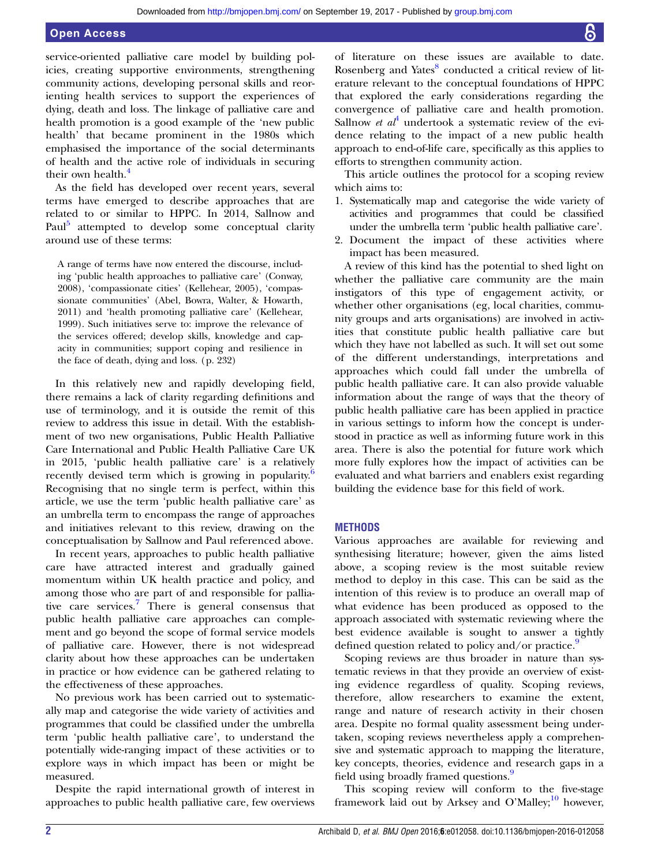## Open Access

service-oriented palliative care model by building policies, creating supportive environments, strengthening community actions, developing personal skills and reorienting health services to support the experiences of dying, death and loss. The linkage of palliative care and health promotion is a good example of the 'new public health' that became prominent in the 1980s which emphasised the importance of the social determinants of health and the active role of individuals in securing their own health.<sup>[4](#page-4-0)</sup>

As the field has developed over recent years, several terms have emerged to describe approaches that are related to or similar to HPPC. In 2014, Sallnow and Paul<sup>[5](#page-4-0)</sup> attempted to develop some conceptual clarity around use of these terms:

A range of terms have now entered the discourse, including 'public health approaches to palliative care' (Conway, 2008), 'compassionate cities' (Kellehear, 2005), 'compassionate communities' (Abel, Bowra, Walter, & Howarth, 2011) and 'health promoting palliative care' (Kellehear, 1999). Such initiatives serve to: improve the relevance of the services offered; develop skills, knowledge and capacity in communities; support coping and resilience in the face of death, dying and loss. (p. 232)

In this relatively new and rapidly developing field, there remains a lack of clarity regarding definitions and use of terminology, and it is outside the remit of this review to address this issue in detail. With the establishment of two new organisations, Public Health Palliative Care International and Public Health Palliative Care UK in 2015, 'public health palliative care' is a relatively recently devised term which is growing in popularity.<sup>[6](#page-4-0)</sup> Recognising that no single term is perfect, within this article, we use the term 'public health palliative care' as an umbrella term to encompass the range of approaches and initiatives relevant to this review, drawing on the conceptualisation by Sallnow and Paul referenced above.

In recent years, approaches to public health palliative care have attracted interest and gradually gained momentum within UK health practice and policy, and among those who are part of and responsible for palliative care services.[7](#page-4-0) There is general consensus that public health palliative care approaches can complement and go beyond the scope of formal service models of palliative care. However, there is not widespread clarity about how these approaches can be undertaken in practice or how evidence can be gathered relating to the effectiveness of these approaches.

No previous work has been carried out to systematically map and categorise the wide variety of activities and programmes that could be classified under the umbrella term 'public health palliative care', to understand the potentially wide-ranging impact of these activities or to explore ways in which impact has been or might be measured.

Despite the rapid international growth of interest in approaches to public health palliative care, few overviews

of literature on these issues are available to date. Rosenberg and Yates<sup>[8](#page-4-0)</sup> conducted a critical review of literature relevant to the conceptual foundations of HPPC that explored the early considerations regarding the convergence of palliative care and health promotion. Sallnow *et al*<sup>[4](#page-4-0)</sup> undertook a systematic review of the evidence relating to the impact of a new public health approach to end-of-life care, specifically as this applies to efforts to strengthen community action.

This article outlines the protocol for a scoping review which aims to:

- 1. Systematically map and categorise the wide variety of activities and programmes that could be classified under the umbrella term 'public health palliative care'.
- 2. Document the impact of these activities where impact has been measured.

A review of this kind has the potential to shed light on whether the palliative care community are the main instigators of this type of engagement activity, or whether other organisations (eg, local charities, community groups and arts organisations) are involved in activities that constitute public health palliative care but which they have not labelled as such. It will set out some of the different understandings, interpretations and approaches which could fall under the umbrella of public health palliative care. It can also provide valuable information about the range of ways that the theory of public health palliative care has been applied in practice in various settings to inform how the concept is understood in practice as well as informing future work in this area. There is also the potential for future work which more fully explores how the impact of activities can be evaluated and what barriers and enablers exist regarding building the evidence base for this field of work.

#### **METHODS**

Various approaches are available for reviewing and synthesising literature; however, given the aims listed above, a scoping review is the most suitable review method to deploy in this case. This can be said as the intention of this review is to produce an overall map of what evidence has been produced as opposed to the approach associated with systematic reviewing where the best evidence available is sought to answer a tightly defined question related to policy and/or practice.<sup>[9](#page-4-0)</sup>

Scoping reviews are thus broader in nature than systematic reviews in that they provide an overview of existing evidence regardless of quality. Scoping reviews, therefore, allow researchers to examine the extent, range and nature of research activity in their chosen area. Despite no formal quality assessment being undertaken, scoping reviews nevertheless apply a comprehensive and systematic approach to mapping the literature, key concepts, theories, evidence and research gaps in a field using broadly framed questions.<sup>[9](#page-4-0)</sup>

This scoping review will conform to the five-stage framework laid out by Arksey and O'Malley;<sup>[10](#page-4-0)</sup> however,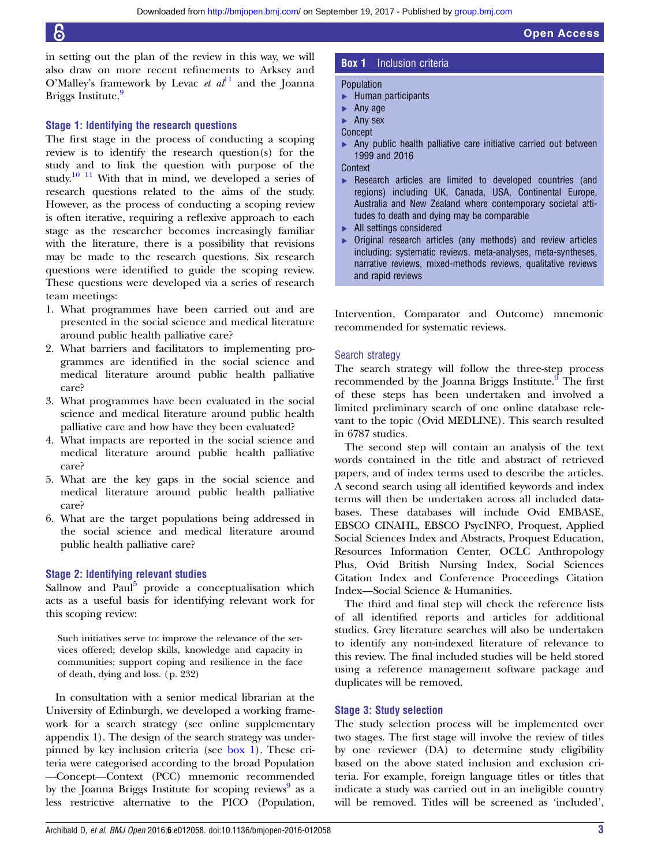in setting out the plan of the review in this way, we will also draw on more recent refinements to Arksey and O'Malley's framework by Levac *et al*<sup>[11](#page-4-0)</sup> and the Joanna Briggs Institute.<sup>[9](#page-4-0)</sup>

#### Stage 1: Identifying the research questions

The first stage in the process of conducting a scoping review is to identify the research question(s) for the study and to link the question with purpose of the study.<sup>[10 11](#page-4-0)</sup> With that in mind, we developed a series of research questions related to the aims of the study. However, as the process of conducting a scoping review is often iterative, requiring a reflexive approach to each stage as the researcher becomes increasingly familiar with the literature, there is a possibility that revisions may be made to the research questions. Six research questions were identified to guide the scoping review. These questions were developed via a series of research team meetings:

- 1. What programmes have been carried out and are presented in the social science and medical literature around public health palliative care?
- 2. What barriers and facilitators to implementing programmes are identified in the social science and medical literature around public health palliative care?
- 3. What programmes have been evaluated in the social science and medical literature around public health palliative care and how have they been evaluated?
- 4. What impacts are reported in the social science and medical literature around public health palliative care?
- 5. What are the key gaps in the social science and medical literature around public health palliative care?
- 6. What are the target populations being addressed in the social science and medical literature around public health palliative care?

#### Stage 2: Identifying relevant studies

Sallnow and Paul $<sup>5</sup>$  $<sup>5</sup>$  $<sup>5</sup>$  provide a conceptualisation which</sup> acts as a useful basis for identifying relevant work for this scoping review:

Such initiatives serve to: improve the relevance of the services offered; develop skills, knowledge and capacity in communities; support coping and resilience in the face of death, dying and loss. (p. 232)

In consultation with a senior medical librarian at the University of Edinburgh, we developed a working framework for a search strategy (see online [supplementary](http://dx.doi.org/10.1136/bmjopen-2016-012058) [appendix](http://dx.doi.org/10.1136/bmjopen-2016-012058) 1). The design of the search strategy was underpinned by key inclusion criteria (see box 1). These criteria were categorised according to the broad Population —Concept—Context (PCC) mnemonic recommended by the Joanna Briggs Institute for scoping reviews<sup>9</sup> as a less restrictive alternative to the PICO (Population,

#### **Box 1** Inclusion criteria

#### Population

- ▸ Human participants
- ▸ Any age
- ▸ Any sex
- Concept
- ▶ Any public health palliative care initiative carried out between 1999 and 2016

Open Access

**Context** 

- ▸ Research articles are limited to developed countries (and regions) including UK, Canada, USA, Continental Europe, Australia and New Zealand where contemporary societal attitudes to death and dying may be comparable
- ▸ All settings considered
- ▸ Original research articles (any methods) and review articles including: systematic reviews, meta-analyses, meta-syntheses, narrative reviews, mixed-methods reviews, qualitative reviews and rapid reviews

Intervention, Comparator and Outcome) mnemonic recommended for systematic reviews.

#### Search strategy

The search strategy will follow the three-step process recommended by the Joanna Briggs Institute.<sup>[9](#page-4-0)</sup> The first of these steps has been undertaken and involved a limited preliminary search of one online database relevant to the topic (Ovid MEDLINE). This search resulted in 6787 studies.

The second step will contain an analysis of the text words contained in the title and abstract of retrieved papers, and of index terms used to describe the articles. A second search using all identified keywords and index terms will then be undertaken across all included databases. These databases will include Ovid EMBASE, EBSCO CINAHL, EBSCO PsycINFO, Proquest, Applied Social Sciences Index and Abstracts, Proquest Education, Resources Information Center, OCLC Anthropology Plus, Ovid British Nursing Index, Social Sciences Citation Index and Conference Proceedings Citation Index—Social Science & Humanities.

The third and final step will check the reference lists of all identified reports and articles for additional studies. Grey literature searches will also be undertaken to identify any non-indexed literature of relevance to this review. The final included studies will be held stored using a reference management software package and duplicates will be removed.

#### Stage 3: Study selection

The study selection process will be implemented over two stages. The first stage will involve the review of titles by one reviewer (DA) to determine study eligibility based on the above stated inclusion and exclusion criteria. For example, foreign language titles or titles that indicate a study was carried out in an ineligible country will be removed. Titles will be screened as 'included',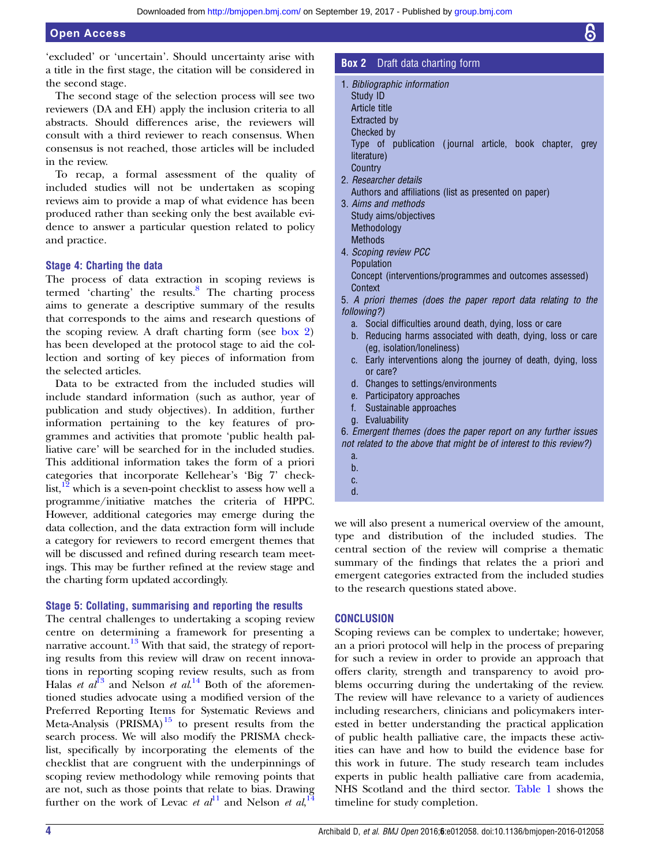'excluded' or 'uncertain'. Should uncertainty arise with a title in the first stage, the citation will be considered in the second stage.

The second stage of the selection process will see two reviewers (DA and EH) apply the inclusion criteria to all abstracts. Should differences arise, the reviewers will consult with a third reviewer to reach consensus. When consensus is not reached, those articles will be included in the review.

To recap, a formal assessment of the quality of included studies will not be undertaken as scoping reviews aim to provide a map of what evidence has been produced rather than seeking only the best available evidence to answer a particular question related to policy and practice.

#### Stage 4: Charting the data

The process of data extraction in scoping reviews is termed 'charting' the results. $\frac{8}{10}$  $\frac{8}{10}$  $\frac{8}{10}$  The charting process aims to generate a descriptive summary of the results that corresponds to the aims and research questions of the scoping review. A draft charting form (see box 2) has been developed at the protocol stage to aid the collection and sorting of key pieces of information from the selected articles.

Data to be extracted from the included studies will include standard information (such as author, year of publication and study objectives). In addition, further information pertaining to the key features of programmes and activities that promote 'public health palliative care' will be searched for in the included studies. This additional information takes the form of a priori categories that incorporate Kellehear's 'Big 7' checklist, $\frac{12}{12}$  which is a seven-point checklist to assess how well a programme/initiative matches the criteria of HPPC. However, additional categories may emerge during the data collection, and the data extraction form will include a category for reviewers to record emergent themes that will be discussed and refined during research team meetings. This may be further refined at the review stage and the charting form updated accordingly.

#### Stage 5: Collating, summarising and reporting the results

The central challenges to undertaking a scoping review centre on determining a framework for presenting a narrative account. $13$  With that said, the strategy of reporting results from this review will draw on recent innovations in reporting scoping review results, such as from Halas *et al*<sup>[13](#page-4-0)</sup> and Nelson *et al*.<sup>[14](#page-4-0)</sup> Both of the aforementioned studies advocate using a modified version of the Preferred Reporting Items for Systematic Reviews and Meta-Analysis  $(PRISMA)^{15}$  $(PRISMA)^{15}$  $(PRISMA)^{15}$  to present results from the search process. We will also modify the PRISMA checklist, specifically by incorporating the elements of the checklist that are congruent with the underpinnings of scoping review methodology while removing points that are not, such as those points that relate to bias. Drawing further on the work of Levac *et al*<sup>[11](#page-4-0)</sup> and Nelson *et al*,<sup>[14](#page-4-0)</sup>

#### **Box 2** Draft data charting form

- 1. Bibliographic information
- Study ID
- Article title
- Extracted by
- Checked by

Type of publication ( journal article, book chapter, grey literature)

- **Country** 2. Researcher details
- Authors and affiliations (list as presented on paper)
- 3. Aims and methods Study aims/objectives Methodology **Methods**
- 4. Scoping review PCC Population Concept (interventions/programmes and outcomes assessed) **Context**
- 5. A priori themes (does the paper report data relating to the following?)
	- a. Social difficulties around death, dying, loss or care
	- b. Reducing harms associated with death, dying, loss or care (eg, isolation/loneliness)
	- c. Early interventions along the journey of death, dying, loss or care?
	- d. Changes to settings/environments
	- e. Participatory approaches
	- f. Sustainable approaches
- g. Evaluability

6. Emergent themes (does the paper report on any further issues not related to the above that might be of interest to this review?)

- a.
- b.
- c.
- d.

we will also present a numerical overview of the amount, type and distribution of the included studies. The central section of the review will comprise a thematic summary of the findings that relates the a priori and emergent categories extracted from the included studies to the research questions stated above.

#### **CONCLUSION**

Scoping reviews can be complex to undertake; however, an a priori protocol will help in the process of preparing for such a review in order to provide an approach that offers clarity, strength and transparency to avoid problems occurring during the undertaking of the review. The review will have relevance to a variety of audiences including researchers, clinicians and policymakers interested in better understanding the practical application of public health palliative care, the impacts these activities can have and how to build the evidence base for this work in future. The study research team includes experts in public health palliative care from academia, NHS Scotland and the third sector. [Table 1](#page-4-0) shows the timeline for study completion.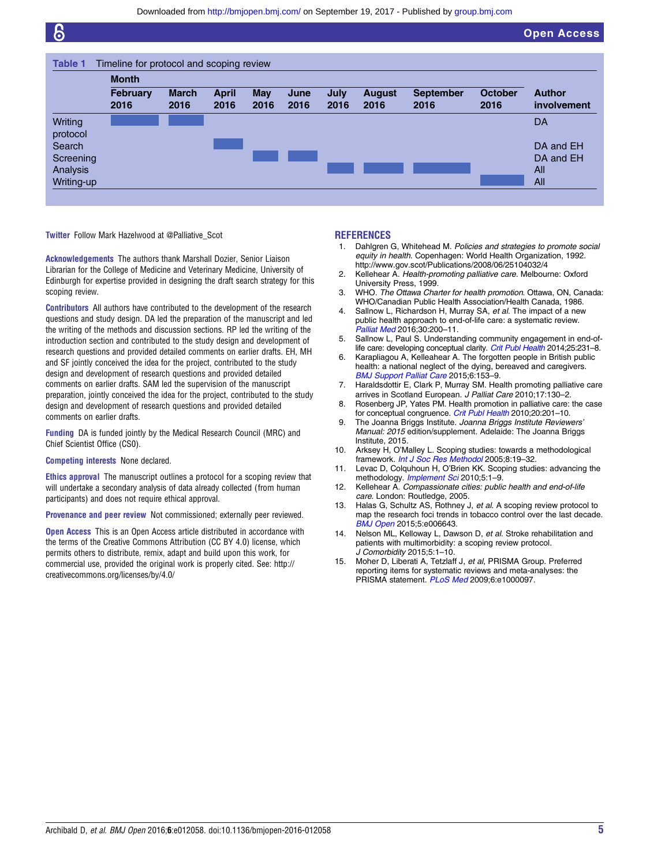<span id="page-4-0"></span>

|                                 | <b>Month</b>            |                      |                      |                    |              |                     |                       |                          |                        |                               |
|---------------------------------|-------------------------|----------------------|----------------------|--------------------|--------------|---------------------|-----------------------|--------------------------|------------------------|-------------------------------|
|                                 | <b>February</b><br>2016 | <b>March</b><br>2016 | <b>April</b><br>2016 | <b>May</b><br>2016 | June<br>2016 | <b>July</b><br>2016 | <b>August</b><br>2016 | <b>September</b><br>2016 | <b>October</b><br>2016 | <b>Author</b><br>involvement  |
| Writing<br>protocol             |                         |                      |                      |                    |              |                     |                       |                          |                        | DA                            |
| Search<br>Screening<br>Analysis |                         |                      |                      |                    |              |                     |                       |                          |                        | DA and EH<br>DA and EH<br>All |
| Writing-up                      |                         |                      |                      |                    |              |                     |                       |                          |                        | All                           |

Twitter Follow Mark Hazelwood at [@Palliative\\_Scot](http://twitter.com/Palliative_Scot)

Acknowledgements The authors thank Marshall Dozier, Senior Liaison Librarian for the College of Medicine and Veterinary Medicine, University of Edinburgh for expertise provided in designing the draft search strategy for this scoping review.

Contributors All authors have contributed to the development of the research questions and study design. DA led the preparation of the manuscript and led the writing of the methods and discussion sections. RP led the writing of the introduction section and contributed to the study design and development of research questions and provided detailed comments on earlier drafts. EH, MH and SF jointly conceived the idea for the project, contributed to the study design and development of research questions and provided detailed comments on earlier drafts. SAM led the supervision of the manuscript preparation, jointly conceived the idea for the project, contributed to the study design and development of research questions and provided detailed comments on earlier drafts.

Funding DA is funded jointly by the Medical Research Council (MRC) and Chief Scientist Office (CS0).

#### Competing interests None declared.

Ethics approval The manuscript outlines a protocol for a scoping review that will undertake a secondary analysis of data already collected (from human participants) and does not require ethical approval.

Provenance and peer review Not commissioned; externally peer reviewed.

**Open Access** This is an Open Access article distributed in accordance with the terms of the Creative Commons Attribution (CC BY 4.0) license, which permits others to distribute, remix, adapt and build upon this work, for commercial use, provided the original work is properly cited. See: [http://](http://creativecommons.org/licenses/by-nc/4.0/) [creativecommons.org/licenses/by/4.0/](http://creativecommons.org/licenses/by-nc/4.0/)

#### REFERENCES

- 1. Dahlgren G, Whitehead M. Policies and strategies to promote social equity in health. Copenhagen: World Health Organization, 1992. <http://www.gov.scot/Publications/2008/06/25104032/4>
- 2. Kellehear A. Health-promoting palliative care. Melbourne: Oxford University Press, 1999.
- 3. WHO. The Ottawa Charter for health promotion. Ottawa, ON, Canada: WHO/Canadian Public Health Association/Health Canada, 1986.
- 4. Sallnow L, Richardson H, Murray SA, et al. The impact of a new public health approach to end-of-life care: a systematic review. [Palliat Med](http://dx.doi.org/10.1177/0269216315599869) 2016;30:200–11.
- 5. Sallnow L, Paul S. Understanding community engagement in end-of-life care: developing conceptual clarity. [Crit Publ Health](http://dx.doi.org/10.1080/09581596.2014.909582) 2014;25:231-8.
- Karapliagou A, Kelleahear A. The forgotten people in British public health: a national neglect of the dying, bereaved and caregivers. [BMJ Support Palliat Care](http://dx.doi.org/10.1136/bmjspcare-2015-000981) 2015;6:153–9.
- 7. Haraldsdottir E, Clark P, Murray SM. Health promoting palliative care arrives in Scotland European. J Palliat Care 2010;17:130–2.
- 8. Rosenberg JP, Yates PM. Health promotion in palliative care: the case for conceptual congruence. [Crit Publ Health](http://dx.doi.org/10.1080/09581590902897394) 2010;20:201–10.
- 9. The Joanna Briggs Institute. Joanna Briggs Institute Reviewers' Manual: 2015 edition/supplement. Adelaide: The Joanna Briggs Institute, 2015.
- 10. Arksey H, O'Malley L. Scoping studies: towards a methodological framework. [Int J Soc Res Methodol](http://dx.doi.org/10.1080/1364557032000119616) 2005;8:19-32.
- 11. Levac D, Colquhoun H, O'Brien KK. Scoping studies: advancing the methodology. [Implement Sci](http://dx.doi.org/10.1186/1748-5908-5-69http://dx.doi.org/10.1186/1748-5908-5-1) 2010;5:1-9.
- 12. Kellehear A. Compassionate cities: public health and end-of-life care. London: Routledge, 2005.
- 13. Halas G, Schultz AS, Rothney J, et al. A scoping review protocol to map the research foci trends in tobacco control over the last decade. [BMJ Open](http://dx.doi.org/10.1136/bmjopen-2014-006643) 2015;5:e006643.
- 14. Nelson ML, Kelloway L, Dawson D, et al. Stroke rehabilitation and patients with multimorbidity: a scoping review protocol. J Comorbidity 2015;5:1–10.
- 15. Moher D, Liberati A, Tetzlaff J, et al, PRISMA Group. Preferred reporting items for systematic reviews and meta-analyses: the PRISMA statement. [PLoS Med](http://dx.doi.org/10.1371/journal.pmed.1000097) 2009;6:e1000097.